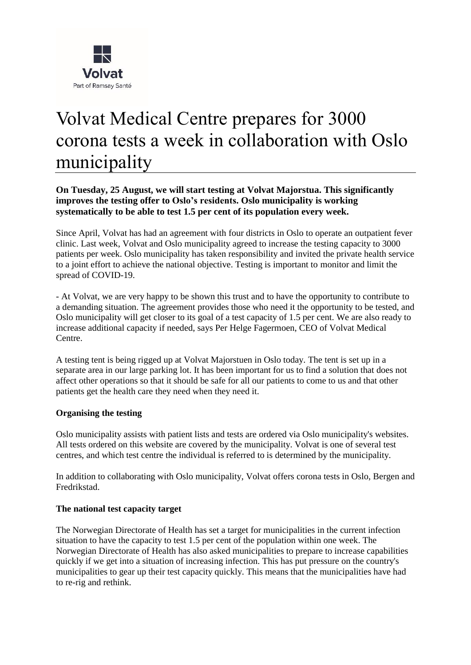

# Volvat Medical Centre prepares for 3000 corona tests a week in collaboration with Oslo municipality

## **On Tuesday, 25 August, we will start testing at Volvat Majorstua. This significantly improves the testing offer to Oslo's residents. Oslo municipality is working systematically to be able to test 1.5 per cent of its population every week.**

Since April, Volvat has had an agreement with four districts in Oslo to operate an outpatient fever clinic. Last week, Volvat and Oslo municipality agreed to increase the testing capacity to 3000 patients per week. Oslo municipality has taken responsibility and invited the private health service to a joint effort to achieve the national objective. Testing is important to monitor and limit the spread of COVID-19.

- At Volvat, we are very happy to be shown this trust and to have the opportunity to contribute to a demanding situation. The agreement provides those who need it the opportunity to be tested, and Oslo municipality will get closer to its goal of a test capacity of 1.5 per cent. We are also ready to increase additional capacity if needed, says Per Helge Fagermoen, CEO of Volvat Medical Centre.

A testing tent is being rigged up at Volvat Majorstuen in Oslo today. The tent is set up in a separate area in our large parking lot. It has been important for us to find a solution that does not affect other operations so that it should be safe for all our patients to come to us and that other patients get the health care they need when they need it.

#### **Organising the testing**

Oslo municipality assists with patient lists and tests are ordered via Oslo municipality's websites. All tests ordered on this website are covered by the municipality. Volvat is one of several test centres, and which test centre the individual is referred to is determined by the municipality.

In addition to collaborating with Oslo municipality, Volvat offers corona tests in Oslo, Bergen and Fredrikstad.

#### **The national test capacity target**

The Norwegian Directorate of Health has set a target for municipalities in the current infection situation to have the capacity to test 1.5 per cent of the population within one week. The Norwegian Directorate of Health has also asked municipalities to prepare to increase capabilities quickly if we get into a situation of increasing infection. This has put pressure on the country's municipalities to gear up their test capacity quickly. This means that the municipalities have had to re-rig and rethink.